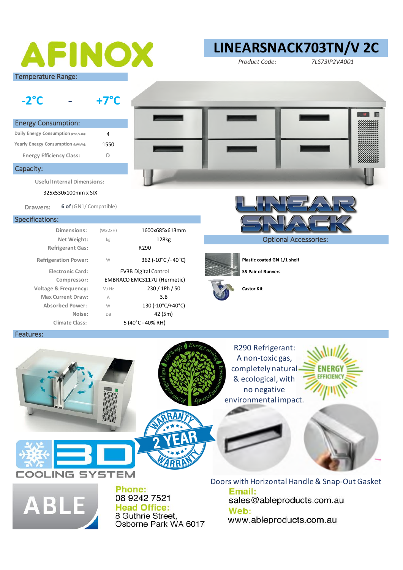# AFINOX Temperature Range:

### **LINEARSNACK703TN/V 2C**

*Product Code: 7LS73IP2VA001*

**-2°C - +7°C** 4 1550 D Energy Consumption: **Daily Energy Consumption (kWh/24h): Yearly Energy Consumption (kWh/A): Energy Efficiency Class:** Capacity: **Useful Internal Dimensions:** 

325x530x100mm x SIX

**Drawers: 6 of** (GN1/ Compatible)

#### Specifications:

| Dimensions:                     | (WxDxH)                     | 1600x685x613mm    |                   |
|---------------------------------|-----------------------------|-------------------|-------------------|
| Net Weight:                     | kg                          | 128kg             |                   |
| <b>Refrigerant Gas:</b>         |                             | R <sub>290</sub>  |                   |
| <b>Refrigeration Power:</b>     | W                           | 362 (-10°C/+40°C) | Plastic co        |
| <b>Electronic Card:</b>         | <b>EV3B Digital Control</b> |                   | SS Pair of        |
| Compressor:                     | EMBRACO EMC3117U (Hermetic) |                   |                   |
| <b>Voltage &amp; Frequency:</b> | V / Hz                      | 230 / 1Ph / 50    | <b>Castor Kit</b> |
| <b>Max Current Draw:</b>        | A                           | 3.8               |                   |
| <b>Absorbed Power:</b>          | W                           | 130 (-10°C/+40°C) |                   |
| Noise:                          | <b>DB</b>                   | 42 (5m)           |                   |
| <b>Climate Class:</b>           |                             | 5 (40°C - 40% RH) |                   |
|                                 |                             |                   |                   |





**Plastic coated GN 1/1 shelf** 



**ES Pair of Runners** 



#### Features:





**Phone:** 08 9242 7521 **Head Office:** 8 Guthrie Street. Osborne Park WA 6017

Email: sales@ableproducts.com.au Web: www.ableproducts.com.au